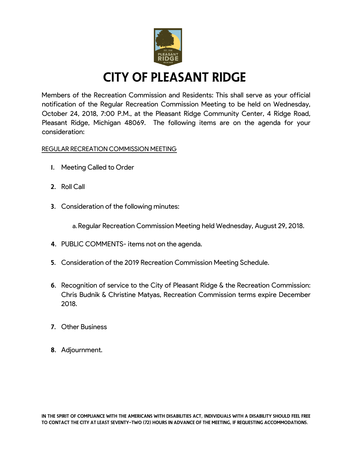

## City of Pleasant Ridge

Members of the Recreation Commission and Residents: This shall serve as your official notification of the Regular Recreation Commission Meeting to be held on Wednesday, October 24, 2018, 7:00 P.M., at the Pleasant Ridge Community Center, 4 Ridge Road, Pleasant Ridge, Michigan 48069. The following items are on the agenda for your consideration:

### REGULAR RECREATION COMMISSION MEETING

- 1. Meeting Called to Order
- 2. Roll Call
- 3. Consideration of the following minutes:

a.Regular Recreation Commission Meeting held Wednesday, August 29, 2018.

- 4. PUBLIC COMMENTS- items not on the agenda.
- 5. Consideration of the 2019 Recreation Commission Meeting Schedule.
- 6. Recognition of service to the City of Pleasant Ridge & the Recreation Commission: Chris Budnik & Christine Matyas, Recreation Commission terms expire December 2018.
- 7. Other Business
- 8. Adjournment.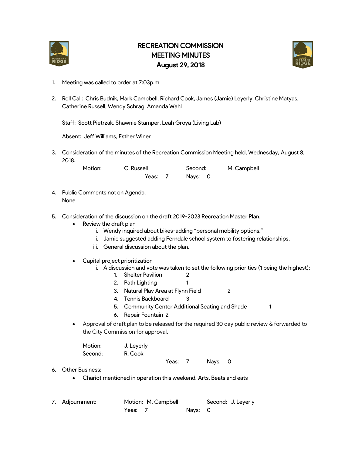

### RECREATION COMMISSION MEETING MINUTES August 29, 2018



- 1. Meeting was called to order at 7:03p.m.
- 2. Roll Call: Chris Budnik, Mark Campbell, Richard Cook, James (Jamie) Leyerly, Christine Matyas, Catherine Russell, Wendy Schrag, Amanda Wahl

Staff: Scott Pietrzak, Shawnie Stamper, Leah Groya (Living Lab)

Absent: Jeff Williams, Esther Winer

3. Consideration of the minutes of the Recreation Commission Meeting held, Wednesday, August 8, 2018.

> Motion: C. Russell Second: M. Campbell Yeas: 7 Nays: 0

- 4. Public Comments not on Agenda: None
- 5. Consideration of the discussion on the draft 2019-2023 Recreation Master Plan.
	- Review the draft plan
		- i. Wendy inquired about bikes-adding "personal mobility options."
		- ii. Jamie suggested adding Ferndale school system to fostering relationships.
		- iii. General discussion about the plan.
	- Capital project prioritization
		- i. A discussion and vote was taken to set the following priorities (1 being the highest):
			- 1. Shelter Pavilion 2
			- 2. Path Lighting 1
			- 3. Natural Play Area at Flynn Field 2
			- 4. Tennis Backboard 3
			- 5. Community Center Additional Seating and Shade 1
			- 6. Repair Fountain 2
	- Approval of draft plan to be released for the required 30 day public review & forwarded to the City Commission for approval.

| Motion: | J. Leyerly |  |  |
|---------|------------|--|--|
| Second: | R. Cook    |  |  |
|         |            |  |  |

Yeas: 7 Nays: 0

- 6. Other Business:
	- Chariot mentioned in operation this weekend. Arts, Beats and eats

| 7. Adjournment: | Motion: M. Campbell |  |         | Second: J. Leyerly |
|-----------------|---------------------|--|---------|--------------------|
|                 | Yeas: 7             |  | Nays: 0 |                    |